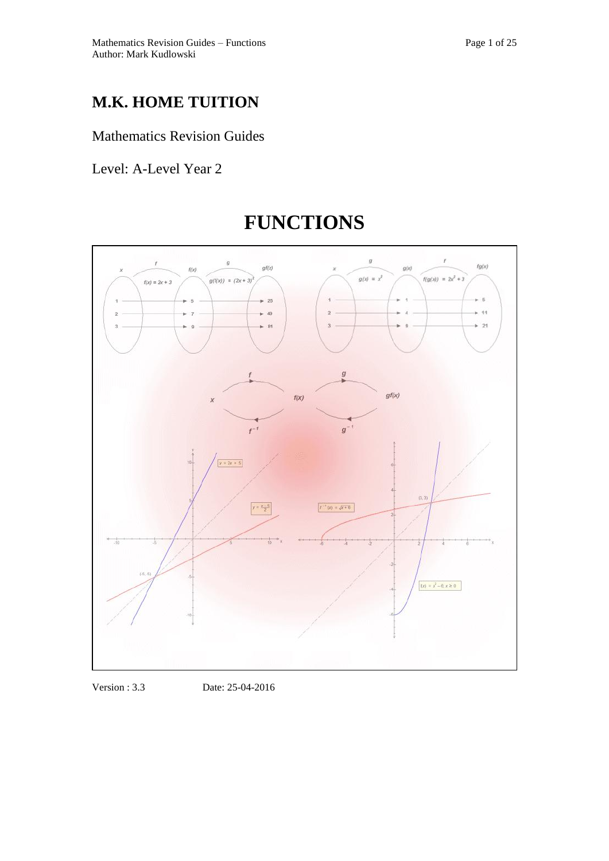## **M.K. HOME TUITION**

### Mathematics Revision Guides

Level: A-Level Year 2



# **FUNCTIONS**

Version : 3.3 Date: 25-04-2016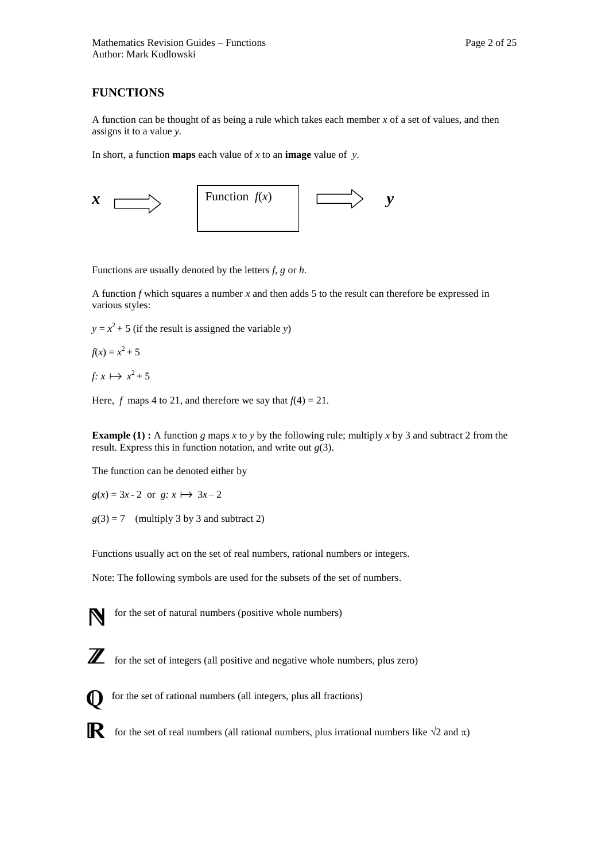#### **FUNCTIONS**

A function can be thought of as being a rule which takes each member *x* of a set of values, and then assigns it to a value *y.* 

In short, a function **maps** each value of *x* to an **image** value of *y*.



Functions are usually denoted by the letters *f*, *g* or *h.* 

A function *f* which squares a number *x* and then adds 5 to the result can therefore be expressed in various styles:

 $y = x^2 + 5$  (if the result is assigned the variable *y*)

$$
f(x) = x^2 + 5
$$

 $f: x \mapsto x^2 + 5$ 

Here, *f* maps 4 to 21, and therefore we say that  $f(4) = 21$ .

**Example (1) :** A function *g* maps *x* to *y* by the following rule; multiply *x* by 3 and subtract 2 from the result. Express this in function notation, and write out *g*(3).

The function can be denoted either by

 $g(x) = 3x - 2$  or  $g: x \mapsto 3x - 2$ 

 $g(3) = 7$  (multiply 3 by 3 and subtract 2)

Functions usually act on the set of real numbers, rational numbers or integers.

Note: The following symbols are used for the subsets of the set of numbers.



for the set of natural numbers (positive whole numbers)



**Z** for the set of integers (all positive and negative whole numbers, plus zero)



for the set of rational numbers (all integers, plus all fractions)

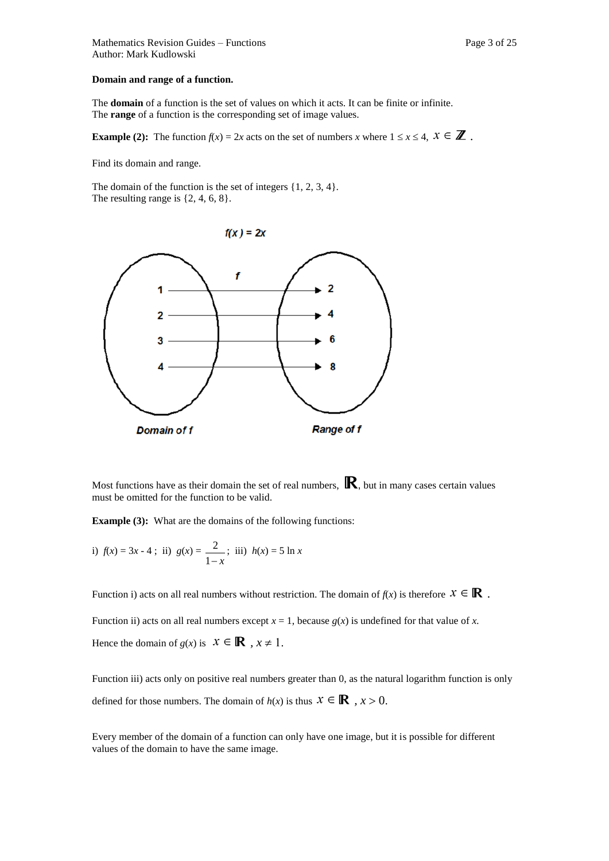The **domain** of a function is the set of values on which it acts. It can be finite or infinite. The **range** of a function is the corresponding set of image values.

**Example (2):** The function  $f(x) = 2x$  acts on the set of numbers *x* where  $1 \le x \le 4$ ,  $x \in \mathbb{Z}$ .

Find its domain and range.

The domain of the function is the set of integers  $\{1, 2, 3, 4\}$ . The resulting range is  $\{2, 4, 6, 8\}.$ 



Most functions have as their domain the set of real numbers,  $\mathbb{R}$ , but in many cases certain values must be omitted for the function to be valid.

**Example (3):** What are the domains of the following functions:

i) 
$$
f(x) = 3x - 4
$$
; ii)  $g(x) = \frac{2}{1-x}$ ; iii)  $h(x) = 5 \ln x$ 

Function i) acts on all real numbers without restriction. The domain of  $f(x)$  is therefore  $x \in \mathbb{R}$ .

Function ii) acts on all real numbers except  $x = 1$ , because  $g(x)$  is undefined for that value of x. Hence the domain of  $g(x)$  is  $x \in \mathbb{R}$ ,  $x \ne 1$ .

Function iii) acts only on positive real numbers greater than 0, as the natural logarithm function is only defined for those numbers. The domain of  $h(x)$  is thus  $x \in \mathbb{R}$ ,  $x > 0$ .

Every member of the domain of a function can only have one image, but it is possible for different values of the domain to have the same image.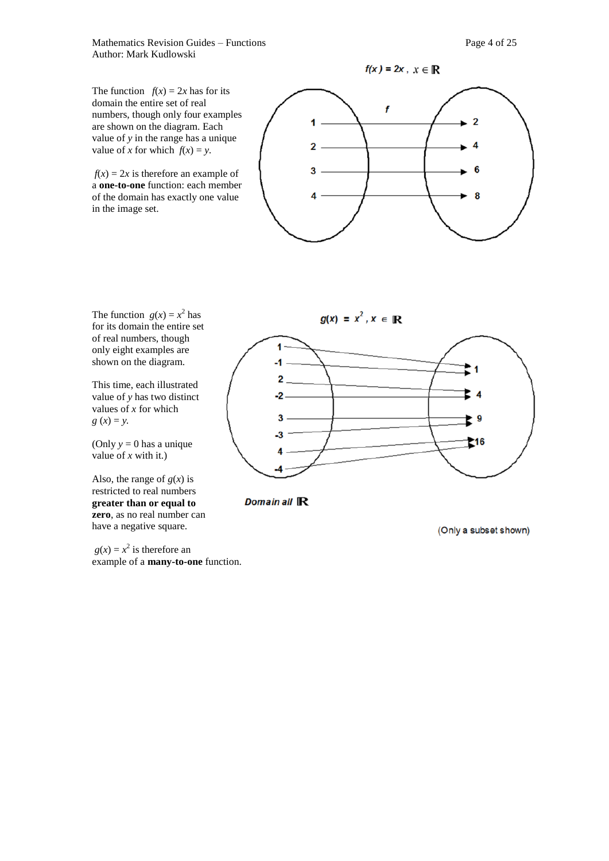Mathematics Revision Guides – Functions **Page 4** of 25 Author: Mark Kudlowski

The function  $f(x) = 2x$  has for its domain the entire set of real numbers, though only four examples are shown on the diagram. Each value of *y* in the range has a unique value of *x* for which  $f(x) = y$ .

 $f(x) = 2x$  is therefore an example of a **one-to-one** function: each member of the domain has exactly one value in the image set.



The function  $g(x) = x^2$  has for its domain the entire set of real numbers, though only eight examples are shown on the diagram.

This time, each illustrated value of *y* has two distinct values of *x* for which  $g(x) = y$ .

(Only  $y = 0$  has a unique value of  $x$  with it.)

Also, the range of  $g(x)$  is restricted to real numbers **greater than or equal to zero**, as no real number can have a negative square.

 $g(x) = x^2$  is therefore an example of a **many-to-one** function.





(Only a subset shown)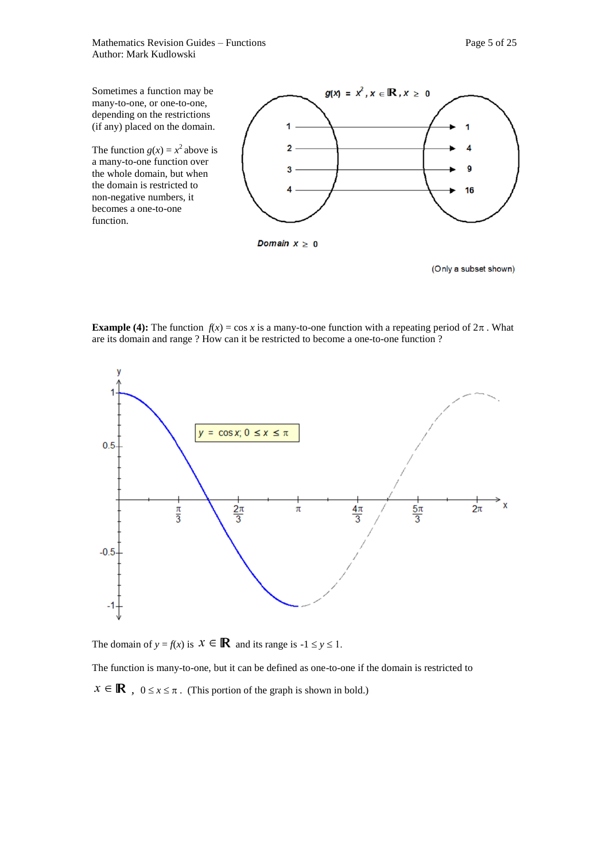Mathematics Revision Guides – Functions Page 5 of 25 Author: Mark Kudlowski



(Only a subset shown)

**Example (4):** The function  $f(x) = \cos x$  is a many-to-one function with a repeating period of  $2\pi$ . What are its domain and range ? How can it be restricted to become a one-to-one function ?



The domain of  $y = f(x)$  is  $x \in \mathbb{R}$  and its range is  $-1 \le y \le 1$ .

The function is many-to-one, but it can be defined as one-to-one if the domain is restricted to

 $x \in \mathbb{R}$ ,  $0 \le x \le \pi$ . (This portion of the graph is shown in bold.)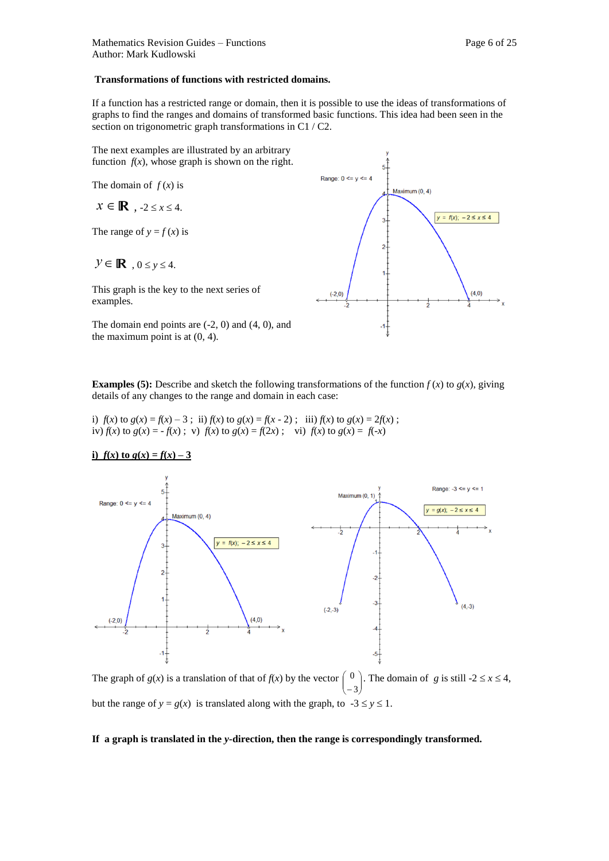#### **Transformations of functions with restricted domains.**

If a function has a restricted range or domain, then it is possible to use the ideas of transformations of graphs to find the ranges and domains of transformed basic functions. This idea had been seen in the section on trigonometric graph transformations in C1 / C2.

The next examples are illustrated by an arbitrary function  $f(x)$ , whose graph is shown on the right.

The domain of  $f(x)$  is

 $x \in \mathbb{R}$ ,  $-2 \leq x \leq 4$ .

The range of  $y = f(x)$  is

$$
\mathcal{Y} \in \mathbb{R}, \quad 0 \le y \le 4.
$$

This graph is the key to the next series of examples.

The domain end points are (-2, 0) and (4, 0), and the maximum point is at (0, 4).



**Examples (5):** Describe and sketch the following transformations of the function  $f(x)$  to  $g(x)$ , giving details of any changes to the range and domain in each case:

i)  $f(x)$  to  $g(x) = f(x) - 3$ ; ii)  $f(x)$  to  $g(x) = f(x - 2)$ ; iii)  $f(x)$  to  $g(x) = 2f(x)$ ; iv)  $f(x)$  to  $g(x) = -f(x)$ ; v)  $f(x)$  to  $g(x) = f(2x)$ ; vi)  $f(x)$  to  $g(x) = f(-x)$ 

i) 
$$
f(x)
$$
 to  $g(x) = f(x) - 3$ 



The graph of  $g(x)$  is a translation of that of  $f(x)$  by the vector  $\binom{0}{-3}$ . The domain of *g* is still -2  $\le x \le 4$ ,  $-3)$ L L L ſ but the range of  $y = g(x)$  is translated along with the graph, to  $-3 \le y \le 1$ .

#### **If a graph is translated in the** *y-***direction, then the range is correspondingly transformed.**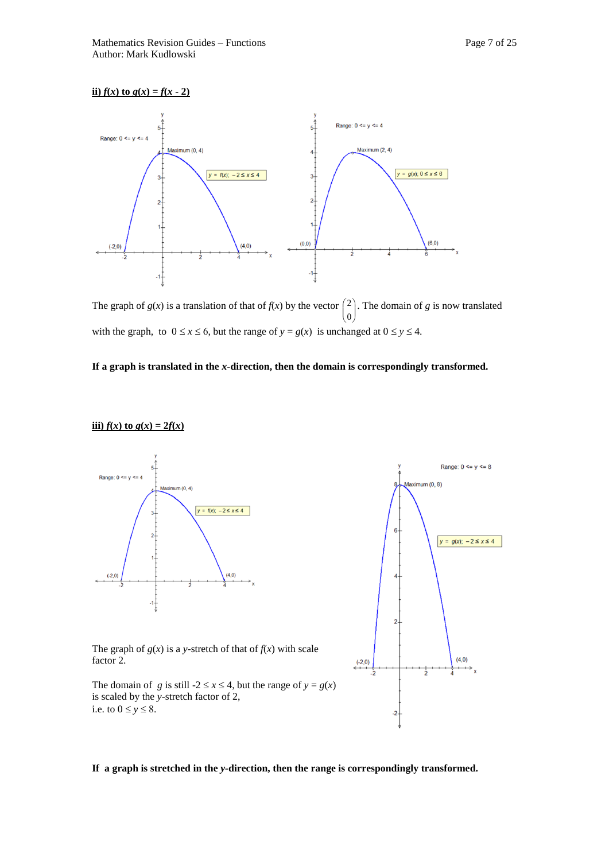#### **ii**)  $f(x)$  to  $g(x) = f(x - 2)$



The graph of  $g(x)$  is a translation of that of  $f(x)$  by the vector  $\begin{pmatrix} 2 \\ 2 \end{pmatrix}$ . The domain of *g* is now translated  $\left( 0 \right)$ with the graph, to  $0 \le x \le 6$ , but the range of  $y = g(x)$  is unchanged at  $0 \le y \le 4$ .

#### **If a graph is translated in the** *x-***direction, then the domain is correspondingly transformed.**



#### **If a graph is stretched in the** *y-***direction, then the range is correspondingly transformed.**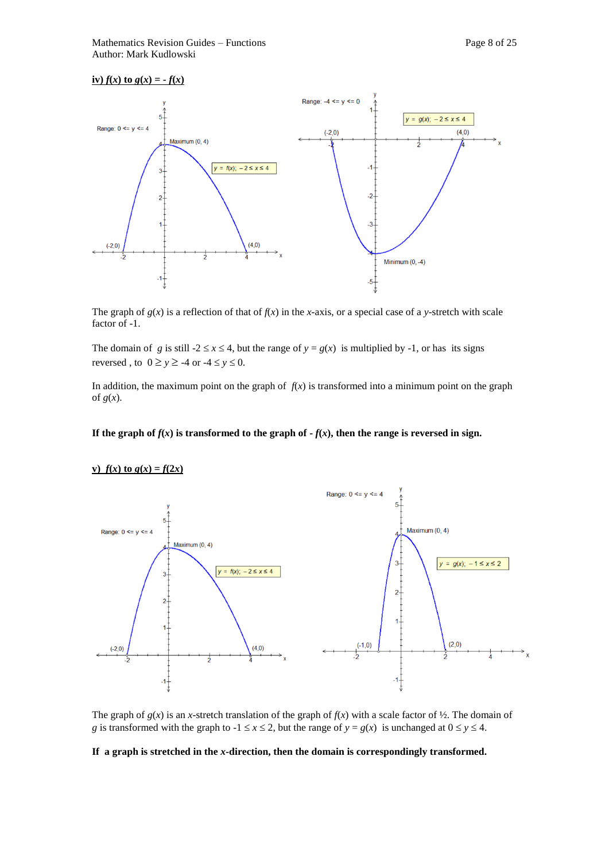#### $f(x) f(x)$  to  $g(x) = -f(x)$



The graph of  $g(x)$  is a reflection of that of  $f(x)$  in the *x*-axis, or a special case of a *y*-stretch with scale factor of -1.

The domain of *g* is still  $-2 \le x \le 4$ , but the range of  $y = g(x)$  is multiplied by  $-1$ , or has its signs reversed, to  $0 \ge y \ge -4$  or  $-4 \le y \le 0$ .

In addition, the maximum point on the graph of  $f(x)$  is transformed into a minimum point on the graph of  $g(x)$ .

#### **If the graph of** *f*(*x*) is transformed to the graph of  $-f(x)$ , then the range is reversed in sign.



**v**)  $f(x)$  to  $g(x) = f(2x)$ 

The graph of  $g(x)$  is an *x*-stretch translation of the graph of  $f(x)$  with a scale factor of  $\frac{1}{2}$ . The domain of *g* is transformed with the graph to  $-1 \le x \le 2$ , but the range of  $y = g(x)$  is unchanged at  $0 \le y \le 4$ .

#### **If a graph is stretched in the** *x-***direction, then the domain is correspondingly transformed.**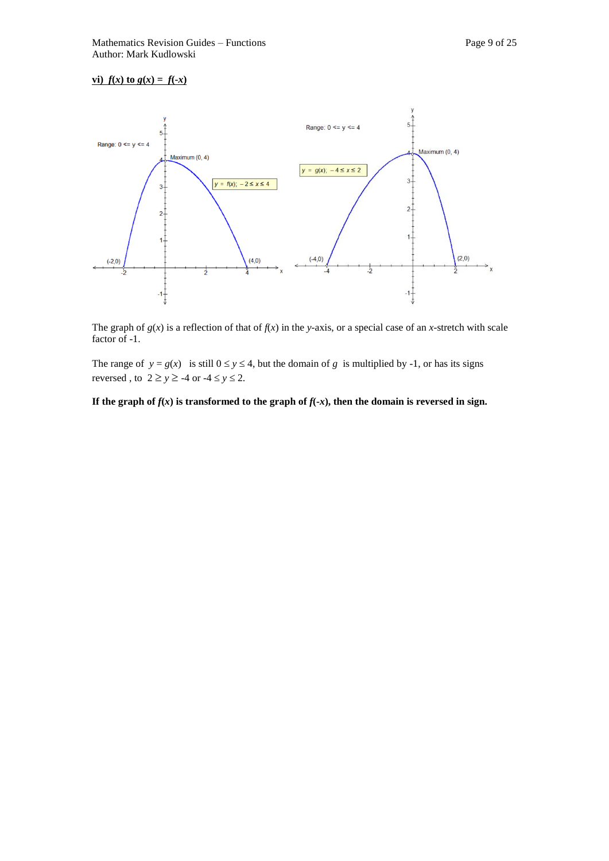#### **vi**)  $f(x)$  **to**  $g(x) = f(-x)$



The graph of  $g(x)$  is a reflection of that of  $f(x)$  in the *y*-axis, or a special case of an *x*-stretch with scale factor of -1.

The range of  $y = g(x)$  is still  $0 \le y \le 4$ , but the domain of *g* is multiplied by -1, or has its signs reversed, to  $2 \ge y \ge -4$  or  $-4 \le y \le 2$ .

If the graph of  $f(x)$  is transformed to the graph of  $f(-x)$ , then the domain is reversed in sign.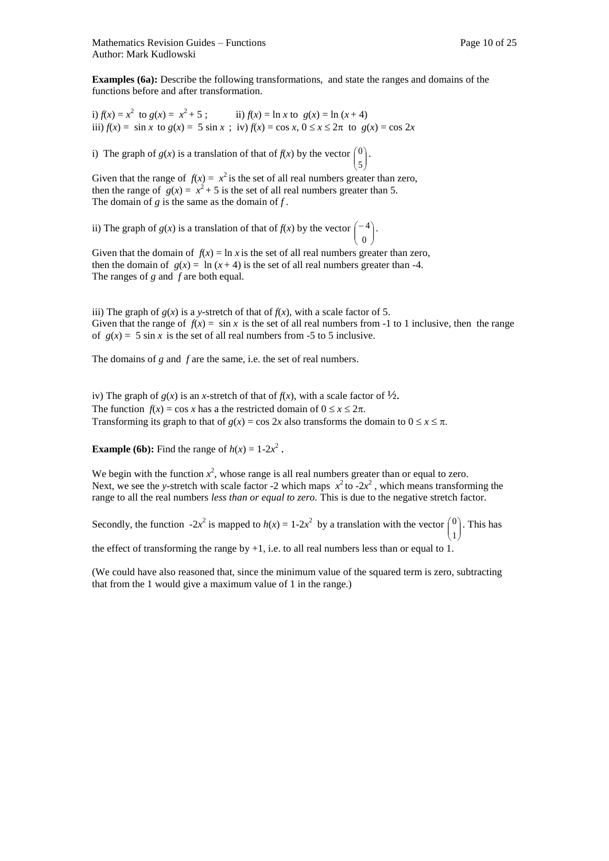**Examples (6a):** Describe the following transformations, and state the ranges and domains of the functions before and after transformation.

i)  $f(x) = x^2$  to  $g(x) = x$ ii)  $f(x) = \ln x$  to  $g(x) = \ln (x + 4)$ iii)  $f(x) = \sin x \text{ to } g(x) = 5 \sin x$ ; iv)  $f(x) = \cos x, 0 \le x \le 2\pi$  to  $g(x) = \cos 2x$ 

i) The graph of *g*(*x*) is a translation of that of *f*(*x*) by the vector  $\begin{pmatrix} 0 \\ 5 \end{pmatrix}$ )  $\lambda$  $\mathbf{r}$ L ſ 5  $|0|$ .

Given that the range of  $f(x) = x^2$  is the set of all real numbers greater than zero, then the range of  $g(x) = x^2 + 5$  is the set of all real numbers greater than 5. The domain of *g* is the same as the domain of *f .* 

ii) The graph of *g*(*x*) is a translation of that of *f*(*x*) by the vector  $\begin{pmatrix} -4 \\ 0 \end{pmatrix}$ J  $\mathcal{L}_{\mathcal{L}}$  $\overline{\phantom{a}}$ L  $\left( -\right)$ 0  $4$ .

Given that the domain of  $f(x) = \ln x$  is the set of all real numbers greater than zero, then the domain of  $g(x) = \ln(x + 4)$  is the set of all real numbers greater than -4. The ranges of *g* and *f* are both equal*.* 

iii) The graph of  $g(x)$  is a *y*-stretch of that of  $f(x)$ , with a scale factor of 5. Given that the range of  $f(x) = \sin x$  is the set of all real numbers from -1 to 1 inclusive, then the range of  $g(x) = 5 \sin x$  is the set of all real numbers from -5 to 5 inclusive.

The domains of *g* and *f* are the same, i.e. the set of real numbers.

iv) The graph of  $g(x)$  is an *x*-stretch of that of  $f(x)$ , with a scale factor of  $\frac{1}{2}$ . The function  $f(x) = \cos x$  has a the restricted domain of  $0 \le x \le 2\pi$ . Transforming its graph to that of  $g(x) = \cos 2x$  also transforms the domain to  $0 \le x \le \pi$ .

**Example (6b):** Find the range of  $h(x) = 1-2x^2$ .

We begin with the function  $x^2$ , whose range is all real numbers greater than or equal to zero. Next, we see the *y*-stretch with scale factor -2 which maps  $x^2$  to -2 $x^2$ , which means transforming the range to all the real numbers *less than or equal to zero.* This is due to the negative stretch factor.

Secondly, the function  $-2x^2$  is mapped to  $h(x) = 1-2x^2$  by a translation with the vector  $\begin{pmatrix} 0 \\ 1 \end{pmatrix}$ )  $\begin{pmatrix} 0 \\ 1 \end{pmatrix}$ . This has L 1 the effect of transforming the range by  $+1$ , i.e. to all real numbers less than or equal to 1.

(We could have also reasoned that, since the minimum value of the squared term is zero, subtracting that from the 1 would give a maximum value of 1 in the range.)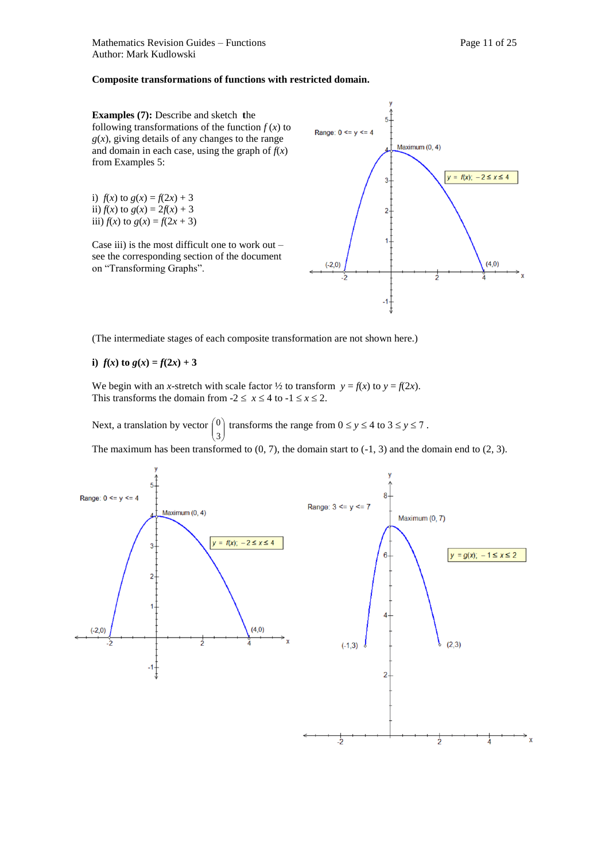#### **Composite transformations of functions with restricted domain.**

**Examples (7):** Describe and sketch **t**he following transformations of the function  $f(x)$  to  $g(x)$ , giving details of any changes to the range and domain in each case, using the graph of  $f(x)$ from Examples 5:

i)  $f(x)$  to  $g(x) = f(2x) + 3$ ii)  $f(x)$  to  $g(x) = 2f(x) + 3$ iii)  $f(x)$  to  $g(x) = f(2x + 3)$ 

Case iii) is the most difficult one to work out  $$ see the corresponding section of the document on "Transforming Graphs".



(The intermediate stages of each composite transformation are not shown here.)

**i**)  $f(x)$  to  $g(x) = f(2x) + 3$ 

We begin with an *x*-stretch with scale factor  $\frac{1}{2}$  to transform  $y = f(x)$  to  $y = f(2x)$ . This transforms the domain from  $-2 \le x \le 4$  to  $-1 \le x \le 2$ .

Next, a translation by vector  $\begin{pmatrix} 0 \\ 3 \end{pmatrix}$ J  $\binom{0}{3}$  transforms the range from  $0 \le y \le 4$  to  $3 \le y \le 7$ . L 3

The maximum has been transformed to  $(0, 7)$ , the domain start to  $(-1, 3)$  and the domain end to  $(2, 3)$ .

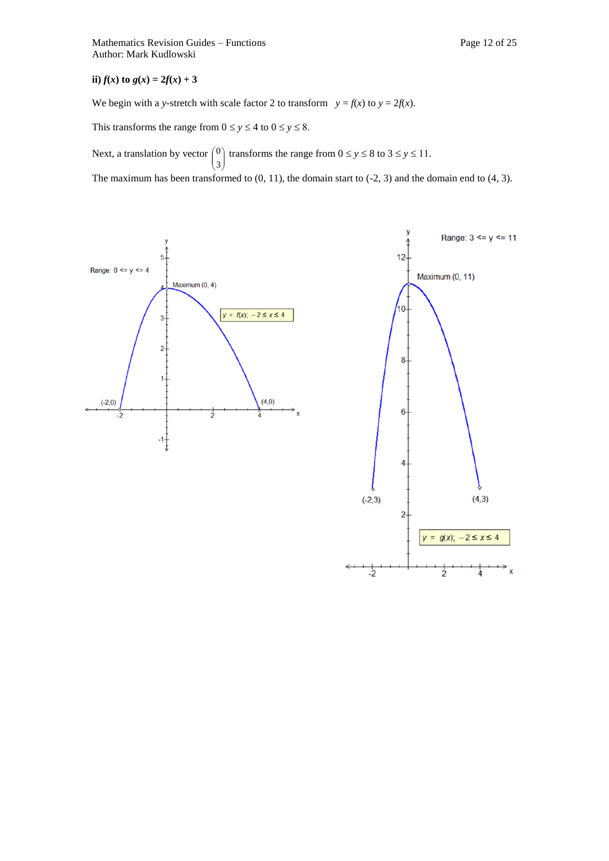**ii**)  $f(x)$  to  $g(x) = 2f(x) + 3$ 

We begin with a *y*-stretch with scale factor 2 to transform  $y = f(x)$  to  $y = 2f(x)$ .

This transforms the range from  $0 \le y \le 4$  to  $0 \le y \le 8$ .

J

3

L

Next, a translation by vector  $\begin{pmatrix} 0 \\ 2 \end{pmatrix}$  $\mathcal{L}_{\mathcal{L}}$  $\mathsf{I}$ ſ <sup>0</sup>) transforms the range from  $0 \le y \le 8$  to  $3 \le y \le 11$ .

The maximum has been transformed to  $(0, 11)$ , the domain start to  $(-2, 3)$  and the domain end to  $(4, 3)$ .

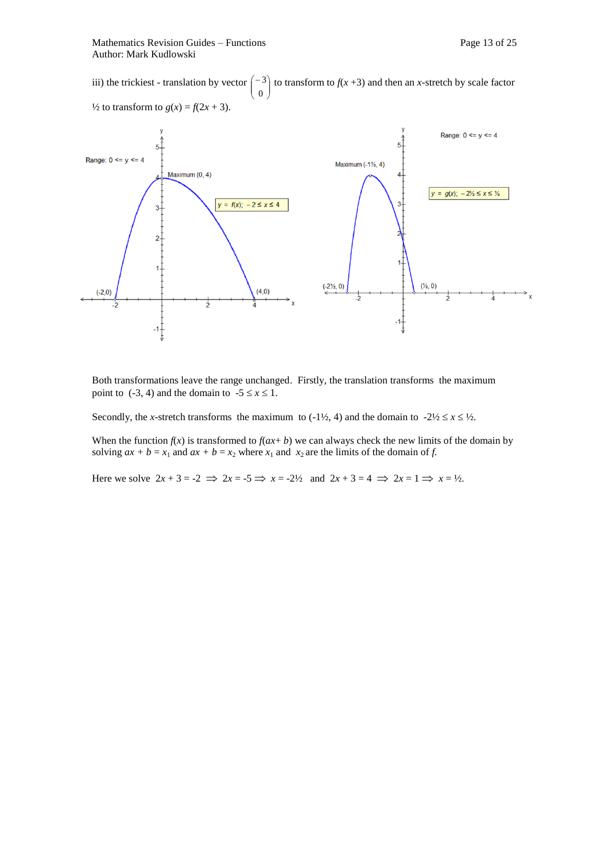iii) the trickiest - translation by vector  $\begin{pmatrix} -3 \\ 3 \end{pmatrix}$  to transform to  $f(x + 3)$  and then an *x*-stretch by scale factor  $\left( \begin{array}{c} 0 \end{array} \right)$  $\frac{1}{2}$  to transform to  $g(x) = f(2x + 3)$ .



Both transformations leave the range unchanged. Firstly, the translation transforms the maximum point to  $(-3, 4)$  and the domain to  $-5 \le x \le 1$ .

Secondly, the *x*-stretch transforms the maximum to (-1½, 4) and the domain to  $-2\frac{1}{2} \le x \le \frac{1}{2}$ .

When the function  $f(x)$  is transformed to  $f(ax + b)$  we can always check the new limits of the domain by solving  $ax + b = x_1$  and  $ax + b = x_2$  where  $x_1$  and  $x_2$  are the limits of the domain of *f*.

Here we solve  $2x + 3 = -2 \implies 2x = -5 \implies x = -2\frac{1}{2}$  and  $2x + 3 = 4 \implies 2x = 1 \implies x = \frac{1}{2}$ .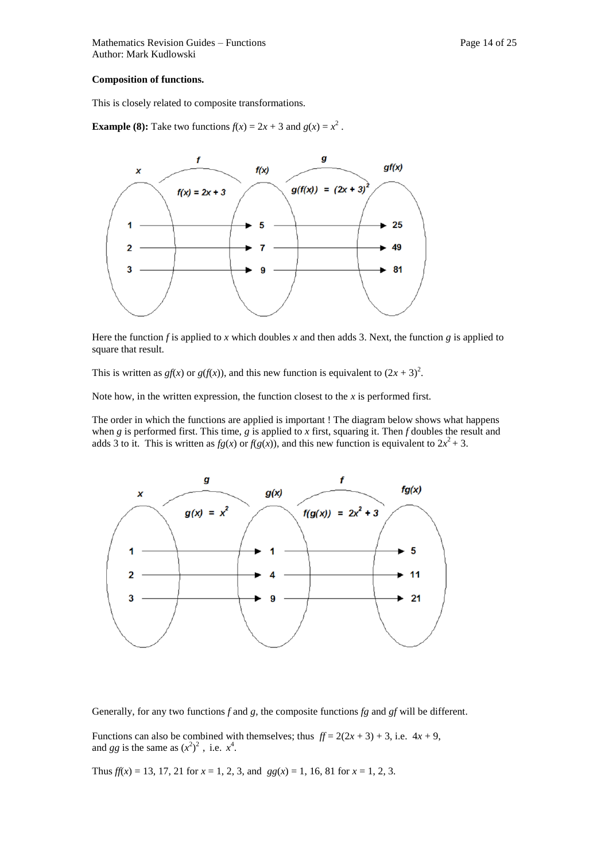#### **Composition of functions.**

This is closely related to composite transformations.

**Example (8):** Take two functions  $f(x) = 2x + 3$  and  $g(x) = x^2$ .



Here the function *f* is applied to *x* which doubles *x* and then adds 3. Next, the function *g* is applied to square that result.

This is written as  $gf(x)$  or  $g(f(x))$ , and this new function is equivalent to  $(2x + 3)^2$ .

Note how, in the written expression, the function closest to the *x* is performed first.

The order in which the functions are applied is important ! The diagram below shows what happens when *g* is performed first. This time, *g* is applied to *x* first, squaring it. Then *f* doubles the result and adds 3 to it. This is written as  $fg(x)$  or  $f(g(x))$ , and this new function is equivalent to  $2x^2 + 3$ .



Generally, for any two functions *f* and *g,* the composite functions *fg* and *gf* will be different.

Functions can also be combined with themselves; thus  $ff = 2(2x + 3) + 3$ , i.e.  $4x + 9$ , and *gg* is the same as  $(x^2)^2$ , i.e.  $x^4$ .

Thus  $f(x) = 13, 17, 21$  for  $x = 1, 2, 3$ , and  $gg(x) = 1, 16, 81$  for  $x = 1, 2, 3$ .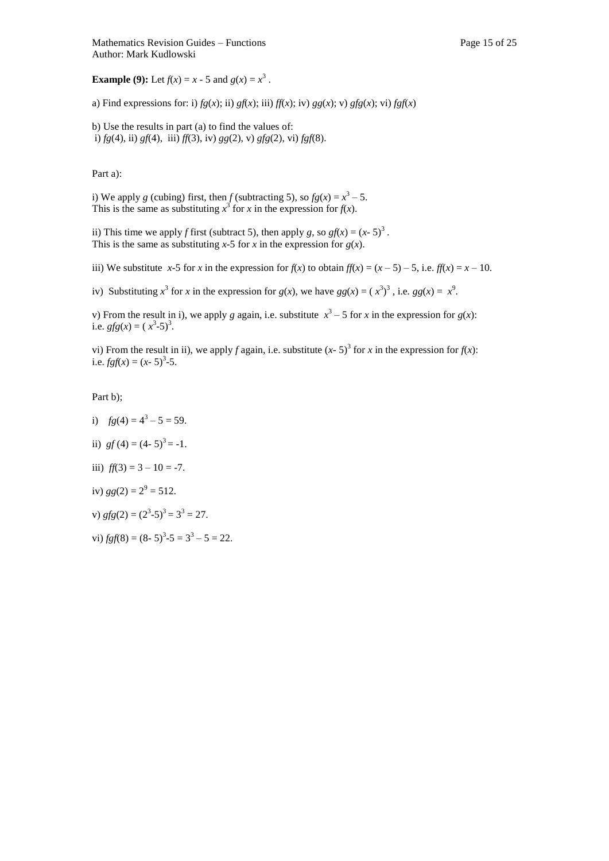**Example (9):** Let  $f(x) = x - 5$  and  $g(x) = x^3$ .

a) Find expressions for: i)  $fg(x)$ ; ii)  $gf(x)$ ; iii)  $ff(x)$ ; iv)  $gg(x)$ ; v)  $gfg(x)$ ; vi)  $fgf(x)$ 

b) Use the results in part (a) to find the values of: i) *fg*(4), ii) *gf*(4), iii) *ff*(3), iv) *gg*(2), v) *gfg*(2), vi) *fgf*(8).

Part a):

i) We apply *g* (cubing) first, then *f* (subtracting 5), so  $fg(x) = x^3 - 5$ . This is the same as substituting  $x^3$  for *x* in the expression for *f*(*x*).

ii) This time we apply *f* first (subtract 5), then apply *g*, so  $gf(x) = (x - 5)^3$ . This is the same as substituting  $x$ -5 for  $x$  in the expression for  $g(x)$ .

iii) We substitute *x*-5 for *x* in the expression for  $f(x)$  to obtain  $f(x) = (x - 5) - 5$ , i.e.  $f(x) = x - 10$ .

iv) Substituting  $x^3$  for *x* in the expression for  $g(x)$ , we have  $gg(x) = (x^3)^3$ , i.e.  $gg(x) = x^9$ .

v) From the result in i), we apply *g* again, i.e. substitute  $x^3 - 5$  for *x* in the expression for  $g(x)$ : i.e. *gfg*(*x*) =  $(x^3-5)^3$ .

vi) From the result in ii), we apply *f* again, i.e. substitute  $(x - 5)^3$  for *x* in the expression for  $f(x)$ : i.e.  $fgf(x) = (x - 5)^3 - 5$ .

Part b);

- i)  $fg(4) = 4^3 5 = 59$ .
- ii)  $gf(4) = (4-5)^3 = -1$ .
- iii)  $ff(3) = 3 10 = -7$ .
- iv)  $gg(2) = 2^9 = 512$ .

v)  $gfg(2) = (2^3-5)^3 = 3^3 = 27$ .

vi)  $fgf(8) = (8-5)^3 - 5 = 3^3 - 5 = 22$ .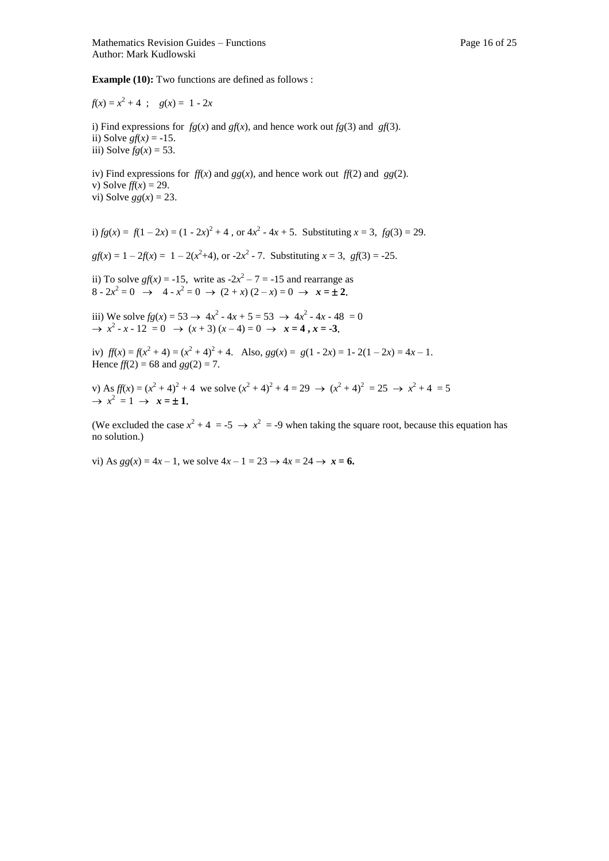**Example (10):** Two functions are defined as follows :

 $f(x) = x^2 + 4$ ;  $g(x) = 1 - 2x$ 

i) Find expressions for  $fg(x)$  and  $gf(x)$ , and hence work out  $fg(3)$  and  $gf(3)$ . ii) Solve  $gf(x) = -15$ . iii) Solve  $fg(x) = 53$ .

iv) Find expressions for  $f(x)$  and  $gg(x)$ , and hence work out  $f(x)$  and  $gg(2)$ . v) Solve  $f(x) = 29$ . vi) Solve  $gg(x) = 23$ .

i)  $fg(x) = f(1-2x) = (1-2x)^2 + 4$ , or  $4x^2 - 4x + 5$ . Substituting  $x = 3$ ,  $fg(3) = 29$ .

 $gf(x) = 1 - 2f(x) = 1 - 2(x^2 + 4)$ , or  $-2x^2 - 7$ . Substituting  $x = 3$ ,  $gf(3) = -25$ .

ii) To solve *gf*(*x*) = -15, write as  $-2x^2 - 7 = -15$  and rearrange as  $8 - 2x^2 = 0 \rightarrow 4 - x^2 = 0 \rightarrow (2 + x)(2 - x) = 0 \rightarrow x = \pm 2.$ 

iii) We solve  $fg(x) = 53 \rightarrow 4x^2 - 4x + 5 = 53 \rightarrow 4x^2 - 4x - 48 = 0$  $\rightarrow$   $x^2 - x - 12 = 0$   $\rightarrow$   $(x + 3)(x - 4) = 0$   $\rightarrow$   $x = 4, x = -3$ .

iv)  $f(x) = f(x^2 + 4) = (x^2 + 4)^2 + 4$ . Also,  $gg(x) = g(1 - 2x) = 1 - 2(1 - 2x) = 4x - 1$ . Hence  $f(2) = 68$  and  $gg(2) = 7$ .

v) As  $f(x) = (x^2 + 4)^2 + 4$  we solve  $(x^2 + 4)^2 + 4 = 29 \rightarrow (x^2 + 4)^2 = 25 \rightarrow x^2 + 4 = 5$  $\rightarrow$   $x^2 = 1 \rightarrow x = \pm 1$ .

(We excluded the case  $x^2 + 4 = -5 \rightarrow x^2 = -9$  when taking the square root, because this equation has no solution.)

vi) As  $gg(x) = 4x - 1$ , we solve  $4x - 1 = 23 \rightarrow 4x = 24 \rightarrow x = 6$ .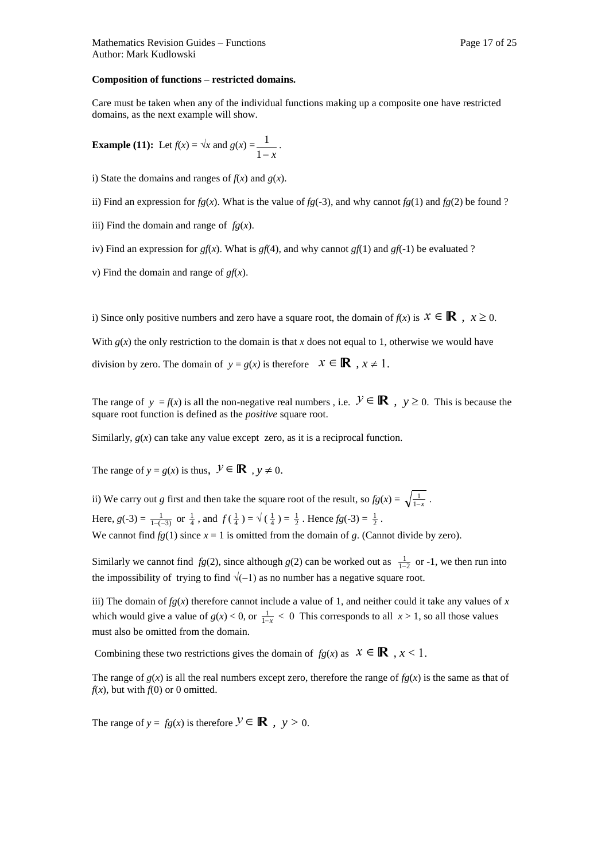#### **Composition of functions – restricted domains.**

Care must be taken when any of the individual functions making up a composite one have restricted domains, as the next example will show.

**Example (11):** Let 
$$
f(x) = \sqrt{x}
$$
 and  $g(x) = \frac{1}{1-x}$ .

i) State the domains and ranges of  $f(x)$  and  $g(x)$ .

ii) Find an expression for  $fg(x)$ . What is the value of  $fg(-3)$ , and why cannot  $fg(1)$  and  $fg(2)$  be found ?

iii) Find the domain and range of *fg*(*x*).

iv) Find an expression for  $gf(x)$ . What is  $gf(4)$ , and why cannot  $gf(1)$  and  $gf(-1)$  be evaluated ?

v) Find the domain and range of *gf*(*x*).

i) Since only positive numbers and zero have a square root, the domain of  $f(x)$  is  $x \in \mathbb{R}$ ,  $x \geq 0$ . With  $g(x)$  the only restriction to the domain is that x does not equal to 1, otherwise we would have division by zero. The domain of  $y = g(x)$  is therefore  $x \in \mathbb{R}$ ,  $x \ne 1$ .

The range of  $y = f(x)$  is all the non-negative real numbers, i.e.  $\mathcal{Y} \in \mathbb{R}$ ,  $y \ge 0$ . This is because the square root function is defined as the *positive* square root.

Similarly,  $g(x)$  can take any value except zero, as it is a reciprocal function.

The range of  $y = g(x)$  is thus,  $\mathcal{Y} \in \mathbb{R}$ ,  $y \neq 0$ .

ii) We carry out *g* first and then take the square root of the result, so  $fg(x) = \sqrt{\frac{1}{1-x}}$ .

Here,  $g(-3) = \frac{1}{1-(-3)}$  or  $\frac{1}{4}$ , and  $f(\frac{1}{4}) = \sqrt{(\frac{1}{4})} = \frac{1}{2}$ . Hence  $fg(-3) = \frac{1}{2}$ .

We cannot find  $fg(1)$  since  $x = 1$  is omitted from the domain of  $g$ . (Cannot divide by zero).

Similarly we cannot find  $fg(2)$ , since although  $g(2)$  can be worked out as  $\frac{1}{1-2}$  or -1, we then run into the impossibility of trying to find  $\sqrt{(-1)}$  as no number has a negative square root.

iii) The domain of  $fg(x)$  therefore cannot include a value of 1, and neither could it take any values of  $x$ which would give a value of  $g(x) < 0$ , or  $\frac{1}{1-x} < 0$  This corresponds to all  $x > 1$ , so all those values must also be omitted from the domain.

Combining these two restrictions gives the domain of  $fg(x)$  as  $x \in \mathbb{R}$ ,  $x < 1$ .

The range of  $g(x)$  is all the real numbers except zero, therefore the range of  $f(g(x))$  is the same as that of  $f(x)$ , but with  $f(0)$  or 0 omitted.

The range of  $y = fg(x)$  is therefore  $\mathcal{Y} \in \mathbb{R}$ ,  $y > 0$ .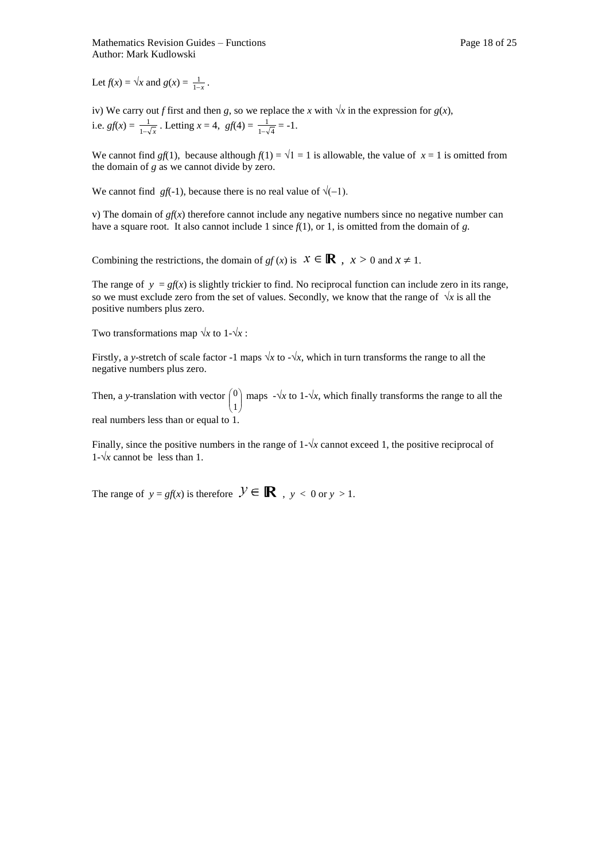Let  $f(x) = \sqrt{x}$  and  $g(x) = \frac{1}{1-x}$ .

iv) We carry out *f* first and then *g*, so we replace the *x* with  $\sqrt{x}$  in the expression for *g*(*x*), i.e.  $gf(x) = \frac{1}{1-\sqrt{x}}$  $\frac{1}{\sqrt{x}}$ . Letting *x* = 4, *gf*(4) =  $\frac{1}{1-\sqrt{4}}$ 1  $\frac{1}{-\sqrt{4}} = -1.$ 

We cannot find *gf*(1), because although  $f(1) = \sqrt{1} = 1$  is allowable, the value of  $x = 1$  is omitted from the domain of *g* as we cannot divide by zero.

We cannot find *gf*(-1), because there is no real value of  $\sqrt{(-1)}$ .

v) The domain of  $gf(x)$  therefore cannot include any negative numbers since no negative number can have a square root. It also cannot include 1 since *f*(1), or 1, is omitted from the domain of *g.*

Combining the restrictions, the domain of *gf* (*x*) is  $x \in \mathbb{R}$ ,  $x > 0$  and  $x \ne 1$ .

The range of  $y = gf(x)$  is slightly trickier to find. No reciprocal function can include zero in its range, so we must exclude zero from the set of values. Secondly, we know that the range of  $\sqrt{x}$  is all the positive numbers plus zero.

Two transformations map  $\sqrt{x}$  to 1- $\sqrt{x}$ :

Firstly, a *y*-stretch of scale factor -1 maps  $\sqrt{x}$  to - $\sqrt{x}$ , which in turn transforms the range to all the negative numbers plus zero.

Then, a *y*-translation with vector  $\begin{pmatrix} 0 \\ 1 \end{pmatrix}$ )  $\mathcal{L}$  $\overline{\phantom{a}}$ L  $\left( \right)$ 1 <sup>0</sup>) maps  $-\sqrt{x}$  to 1- $\sqrt{x}$ , which finally transforms the range to all the real numbers less than or equal to 1.

Finally, since the positive numbers in the range of  $1-\sqrt{x}$  cannot exceed 1, the positive reciprocal of  $1-\sqrt{x}$  cannot be less than 1.

The range of  $y = gf(x)$  is therefore  $\mathcal{Y} \in \mathbb{R}$ ,  $y < 0$  or  $y > 1$ .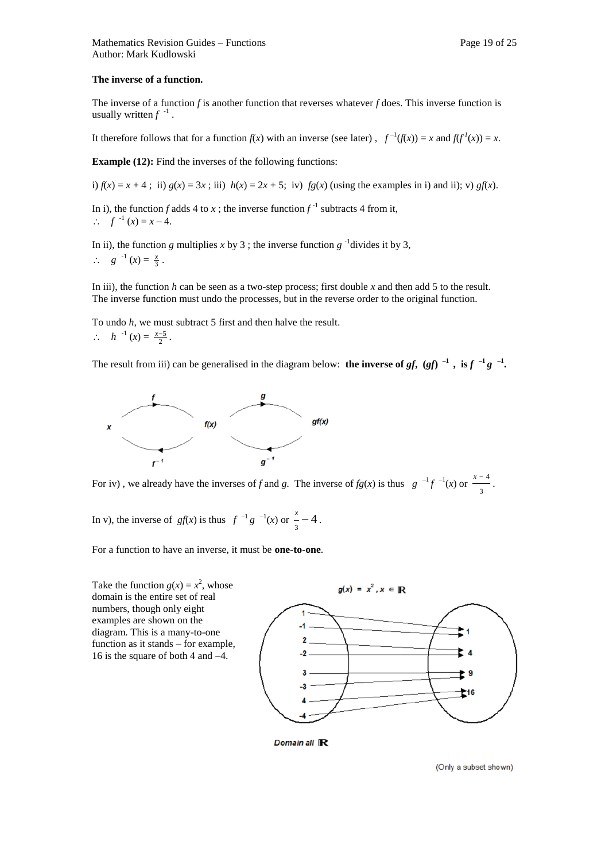#### **The inverse of a function.**

The inverse of a function *f* is another function that reverses whatever *f* does. This inverse function is usually written  $f^{-1}$ .

It therefore follows that for a function  $f(x)$  with an inverse (see later),  $f^{-1}(f(x)) = x$  and  $f(f^{1}(x)) = x$ .

**Example (12):** Find the inverses of the following functions:

i)  $f(x) = x + 4$ ; ii)  $g(x) = 3x$ ; iii)  $h(x) = 2x + 5$ ; iv)  $f(g(x))$  (using the examples in i) and ii); v)  $gf(x)$ .

In i), the function *f* adds 4 to *x*; the inverse function  $f^{-1}$  subtracts 4 from it,  $f^{-1}(x) = x - 4.$ 

In ii), the function *g* multiplies *x* by 3; the inverse function  $g^{-1}$  divides it by 3,  $\therefore$  *g*  $^{-1}(x) = \frac{x}{3}$ .

In iii), the function *h* can be seen as a two-step process; first double *x* and then add 5 to the result. The inverse function must undo the processes, but in the reverse order to the original function.

To undo *h*, we must subtract 5 first and then halve the result.  $\therefore$  *h*<sup>-1</sup> (*x*) =  $\frac{x-5}{2}$ .

The result from iii) can be generalised in the diagram below: **the inverse of** *gf***, (***gf***)<sup>** $-1$ **</sup>, is** *f* $^{-1}$ *g***<sup>** $-1$ **</sup>.** 



For iv), we already have the inverses of f and g. The inverse of  $fg(x)$  is thus  $g^{-1}f^{-1}(x)$  or  $\frac{x-3}{3}$  $\frac{x-4}{x}$ .

In v), the inverse of  $gf(x)$  is thus  $f^{-1}g^{-1}(x)$  or  $\frac{x}{3} - 4$ .

For a function to have an inverse, it must be **one-to-one**.

Take the function  $g(x) = x^2$ , whose domain is the entire set of real numbers, though only eight examples are shown on the diagram. This is a many-to-one function as it stands – for example, 16 is the square of both 4 and –4.



Domain all R

(Only a subset shown)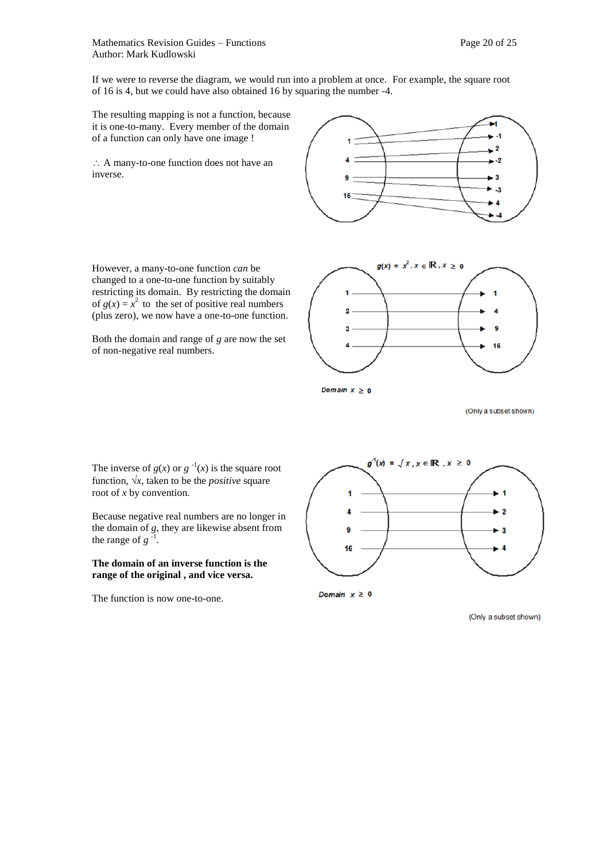If we were to reverse the diagram, we would run into a problem at once. For example, the square root of 16 is 4, but we could have also obtained 16 by squaring the number -4.

The resulting mapping is not a function, because it is one-to-many. Every member of the domain of a function can only have one image !

 A many-to-one function does not have an inverse.



However, a many-to-one function *can* be changed to a one-to-one function by suitably restricting its domain. By restricting the domain of  $g(x) = x^2$  to the set of positive real numbers (plus zero), we now have a one-to-one function.

Both the domain and range of *g* are now the set of non-negative real numbers.



Domain  $x \geq 0$ 

(Only a subset shown)

The inverse of  $g(x)$  or  $g^{-1}(x)$  is the square root function,  $\sqrt{x}$ , taken to be the *positive* square root of *x* by convention.

Because negative real numbers are no longer in the domain of *g*, they are likewise absent from<br>the range of  $g^{-1}$ . the range of *g*

#### **The domain of an inverse function is the range of the original , and vice versa.**

The function is now one-to-one.



Domain  $x \geq 0$ 

(Only a subset shown)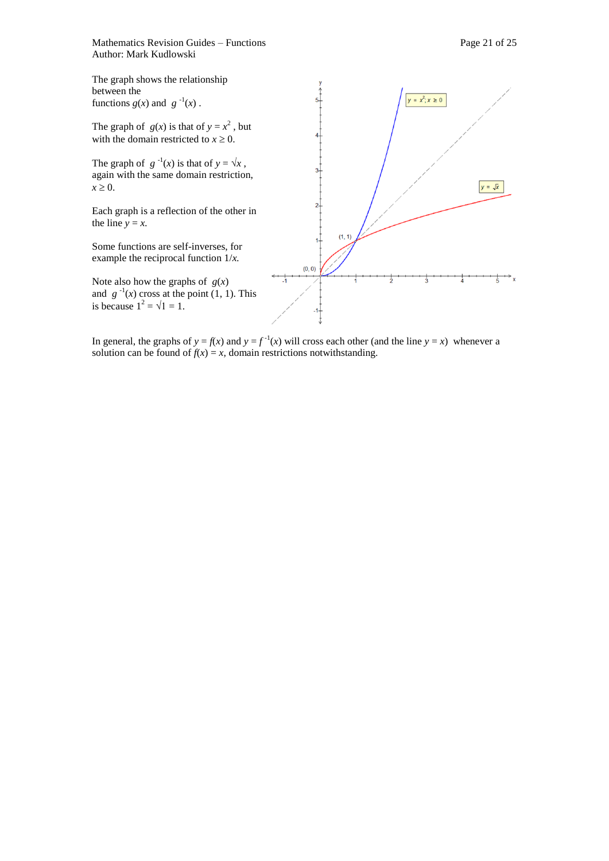Mathematics Revision Guides – Functions **Page 21** of 25 Author: Mark Kudlowski



In general, the graphs of  $y = f(x)$  and  $y = f^{-1}(x)$  will cross each other (and the line  $y = x$ ) whenever a solution can be found of  $f(x) = x$ , domain restrictions notwithstanding.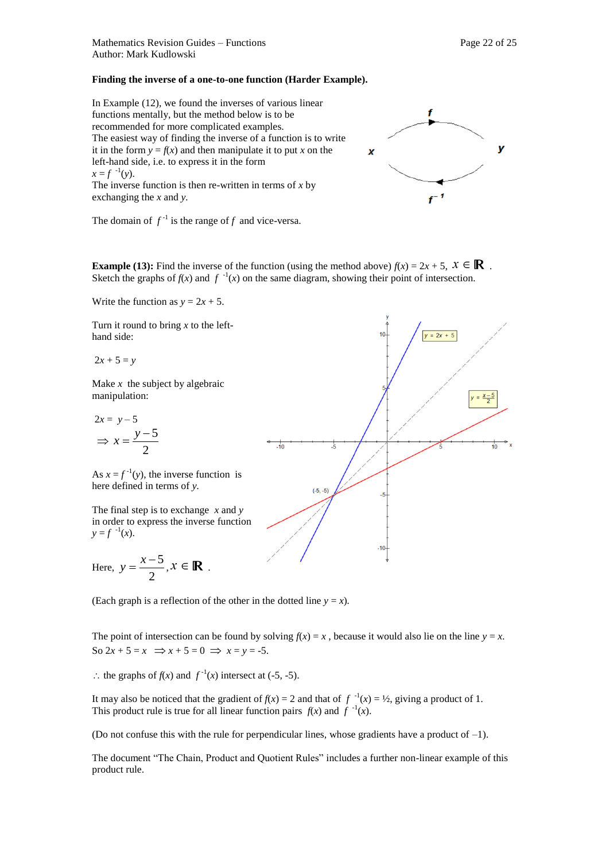#### **Finding the inverse of a one-to-one function (Harder Example).**

In Example (12), we found the inverses of various linear functions mentally, but the method below is to be recommended for more complicated examples. The easiest way of finding the inverse of a function is to write it in the form  $y = f(x)$  and then manipulate it to put *x* on the left-hand side, i.e. to express it in the form  $x = f^{-1}(y)$ . The inverse function is then re-written in terms of  $x$  by exchanging the *x* and *y.* 



The domain of  $f^{-1}$  is the range of f and vice-versa.

**Example (13):** Find the inverse of the function (using the method above)  $f(x) = 2x + 5$ ,  $x \in \mathbb{R}$ . Sketch the graphs of  $f(x)$  and  $f^{-1}(x)$  on the same diagram, showing their point of intersection.

Write the function as  $y = 2x + 5$ .

Turn it round to bring *x* to the lefthand side:

 $2x + 5 = y$ 

Make *x* the subject by algebraic manipulation:

$$
2x = y - 5
$$

$$
\Rightarrow x = \frac{y - 5}{2}
$$

As  $x = f^{-1}(y)$ , the inverse function is here defined in terms of *y.* 

The final step is to exchange *x* and *y*  in order to express the inverse function  $y = f^{-1}(x)$ .

Here, 
$$
y = \frac{x-5}{2}, x \in \mathbb{R}
$$
.



(Each graph is a reflection of the other in the dotted line  $y = x$ ).

The point of intersection can be found by solving  $f(x) = x$ , because it would also lie on the line  $y = x$ . So  $2x + 5 = x \implies x + 5 = 0 \implies x = y = -5.$ 

∴ the graphs of *f*(*x*) and *f*<sup>-1</sup>(*x*) intersect at (-5, -5).

It may also be noticed that the gradient of  $f(x) = 2$  and that of  $f^{-1}(x) = \frac{1}{2}$ , giving a product of 1. This product rule is true for all linear function pairs  $f(x)$  and  $f^{-1}(x)$ .

(Do not confuse this with the rule for perpendicular lines, whose gradients have a product of  $-1$ ).

The document "The Chain, Product and Quotient Rules" includes a further non-linear example of this product rule.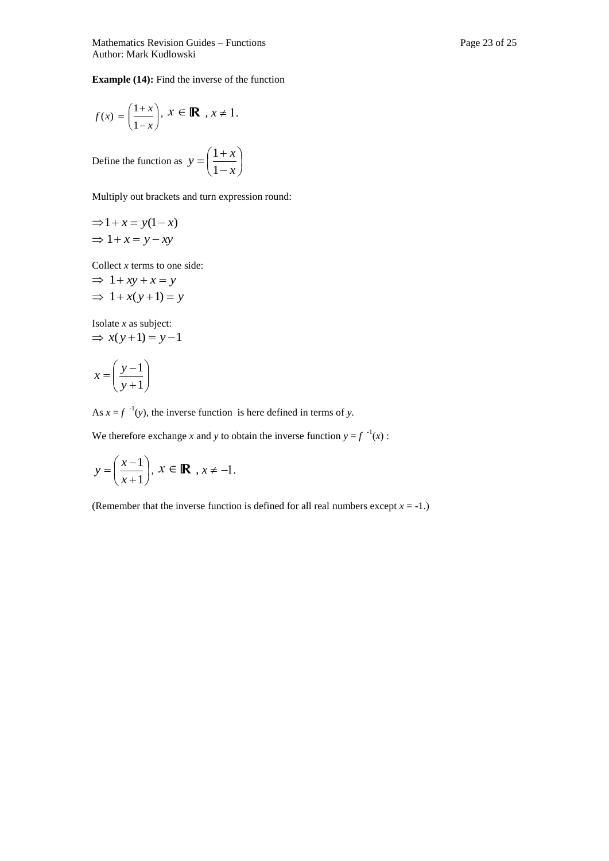**Example (14):** Find the inverse of the function

$$
f(x) = \left(\frac{1+x}{1-x}\right), x \in \mathbb{R}, x \neq 1.
$$

Define the function as  $y = \frac{1 + x}{1}$ J  $\left(\frac{1+x}{1}\right)$  $\setminus$ ſ  $\overline{a}$  $=\left(\frac{1+}{1-}\right)$ *x*  $y = \left(\frac{1+x}{1}\right)$ 1 1

Multiply out brackets and turn expression round:

$$
\Rightarrow 1 + x = y(1 - x)
$$
  

$$
\Rightarrow 1 + x = y - xy
$$

Collect *x* terms to one side:

$$
\Rightarrow 1+xy+x=y
$$
  

$$
\Rightarrow 1+x(y+1)=y
$$

Isolate *x* as subject:  $\Rightarrow$  *x*(*y* + 1) = *y* - 1

$$
x = \left(\frac{y-1}{y+1}\right)
$$

As  $x = f^{-1}(y)$ , the inverse function is here defined in terms of *y*.

We therefore exchange *x* and *y* to obtain the inverse function  $y = f^{-1}(x)$ :

$$
y = \left(\frac{x-1}{x+1}\right), \ x \in \mathbb{R}, \ x \neq -1.
$$

(Remember that the inverse function is defined for all real numbers except  $x = -1$ .)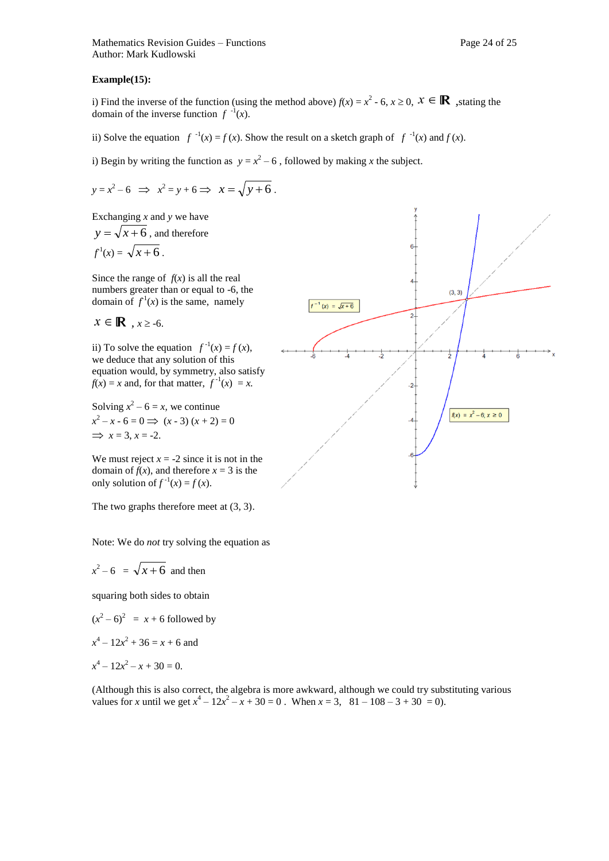#### **Example(15):**

i) Find the inverse of the function (using the method above)  $f(x) = x^2 - 6$ ,  $x \ge 0$ ,  $x \in \mathbb{R}$ , stating the domain of the inverse function  $f^{-1}(x)$ .

ii) Solve the equation  $f^{-1}(x) = f(x)$ . Show the result on a sketch graph of  $f^{-1}(x)$  and  $f(x)$ .

i) Begin by writing the function as  $y = x^2 - 6$ , followed by making *x* the subject.

$$
y = x2 - 6 \implies x2 = y + 6 \implies x = \sqrt{y + 6}.
$$

Exchanging *x* and *y* we have

 $y = \sqrt{x+6}$ , and therefore  $f^1(x) = \sqrt{x+6}$ .

Since the range of  $f(x)$  is all the real numbers greater than or equal to -6, the domain of  $f^1(x)$  is the same, namely

 $x \in \mathbb{R}$ ,  $x \ge -6$ .

ii) To solve the equation  $f^{-1}(x) = f(x)$ , we deduce that any solution of this equation would, by symmetry, also satisfy  $f(x) = x$  and, for that matter,  $f^{-1}(x) = x$ .

Solving  $x^2 - 6 = x$ , we continue  $x^2 - x - 6 = 0 \implies (x - 3)(x + 2) = 0$  $\implies$  *x* = 3, *x* = -2.

We must reject  $x = -2$  since it is not in the domain of  $f(x)$ , and therefore  $x = 3$  is the only solution of  $f^{-1}(x) = f(x)$ .

The two graphs therefore meet at (3, 3).

Note: We do *not* try solving the equation as

$$
x^2 - 6 = \sqrt{x+6}
$$
 and then

squaring both sides to obtain

 $(x^2 - 6)^2 = x + 6$  followed by

$$
x^4 - 12x^2 + 36 = x + 6
$$
 and

$$
x^4 - 12x^2 - x + 30 = 0.
$$

(Although this is also correct, the algebra is more awkward, although we could try substituting various values for *x* until we get  $x^4 - 12x^2 - x + 30 = 0$ . When  $x = 3$ ,  $81 - 108 - 3 + 30 = 0$ .